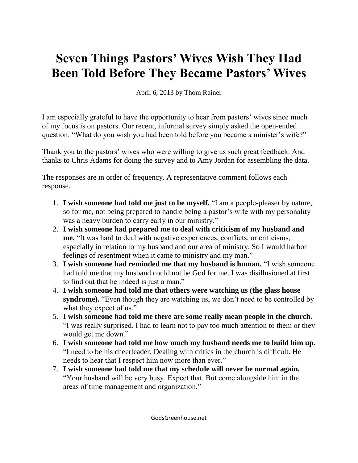## **Seven Things Pastors' Wives Wish They Had Been Told Before They Became Pastors' Wives**

April 6, 2013 by Thom Rainer

I am especially grateful to have the opportunity to hear from pastors' wives since much of my focus is on pastors. Our recent, informal survey simply asked the open-ended question: "What do you wish you had been told before you became a minister's wife?"

Thank you to the pastors' wives who were willing to give us such great feedback. And thanks to Chris Adams for doing the survey and to Amy Jordan for assembling the data.

The responses are in order of frequency. A representative comment follows each response.

- 1. **I wish someone had told me just to be myself.** "I am a people-pleaser by nature, so for me, not being prepared to handle being a pastor's wife with my personality was a heavy burden to carry early in our ministry."
- 2. **I wish someone had prepared me to deal with criticism of my husband and me.** "It was hard to deal with negative experiences, conflicts, or criticisms, especially in relation to my husband and our area of ministry. So I would harbor feelings of resentment when it came to ministry and my man."
- 3. **I wish someone had reminded me that my husband is human.** "I wish someone had told me that my husband could not be God for me. I was disillusioned at first to find out that he indeed is just a man."
- 4. **I wish someone had told me that others were watching us (the glass house syndrome).** "Even though they are watching us, we don't need to be controlled by what they expect of us."
- 5. **I wish someone had told me there are some really mean people in the church.** "I was really surprised. I had to learn not to pay too much attention to them or they would get me down."
- 6. **I wish someone had told me how much my husband needs me to build him up.** "I need to be his cheerleader. Dealing with critics in the church is difficult. He needs to hear that I respect him now more than ever."
- 7. **I wish someone had told me that my schedule will never be normal again.** "Your husband will be very busy. Expect that. But come alongside him in the areas of time management and organization."